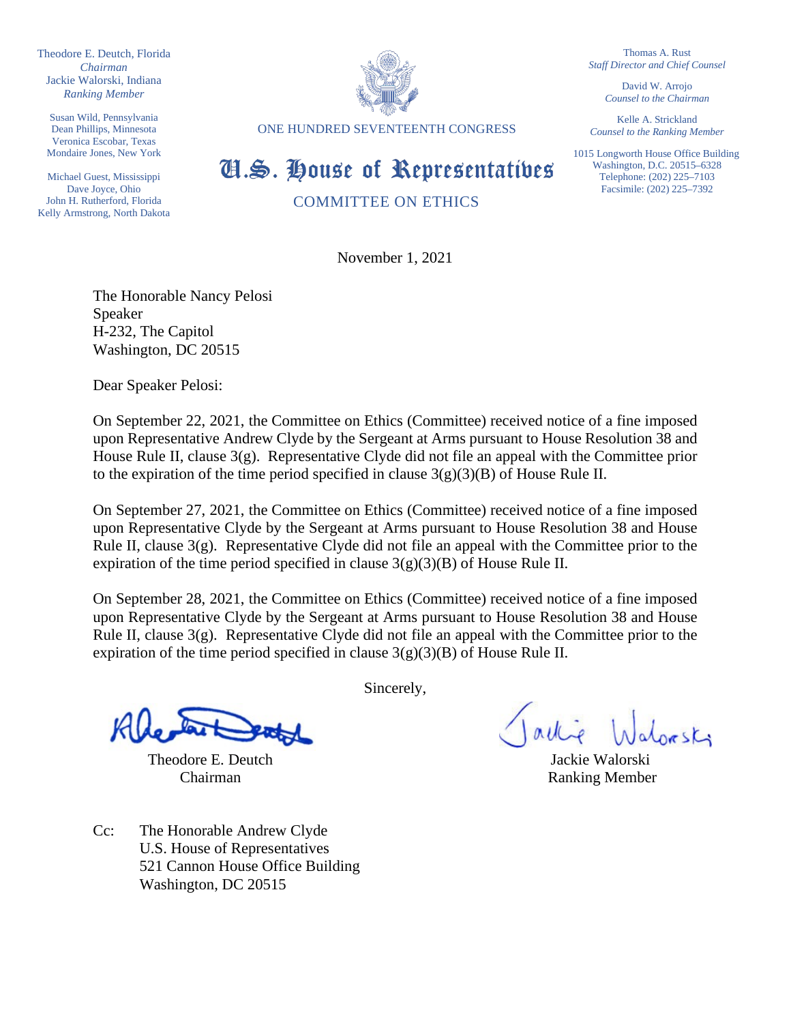Theodore E. Deutch, Florida *Chairman* Jackie Walorski, Indiana *Ranking Member*

Susan Wild, Pennsylvania Dean Phillips, Minnesota Veronica Escobar, Texas Mondaire Jones, New York

Michael Guest, Mississippi Dave Joyce, Ohio John H. Rutherford, Florida Kelly Armstrong, North Dakota



ONE HUNDRED SEVENTEENTH CONGRESS

Thomas A. Rust *Staff Director and Chief Counsel*

> David W. Arrojo *Counsel to the Chairman*

Kelle A. Strickland *Counsel to the Ranking Member*

1015 Longworth House Office Building Washington, D.C. 20515–6328 Telephone: (202) 225–7103 Facsimile: (202) 225–7392

Cl.S. House of Representatives

COMMITTEE ON ETHICS

November 1, 2021

The Honorable Nancy Pelosi Speaker H-232, The Capitol Washington, DC 20515

Dear Speaker Pelosi:

On September 22, 2021, the Committee on Ethics (Committee) received notice of a fine imposed upon Representative Andrew Clyde by the Sergeant at Arms pursuant to House Resolution 38 and House Rule II, clause 3(g). Representative Clyde did not file an appeal with the Committee prior to the expiration of the time period specified in clause  $3(g)(3)(B)$  of House Rule II.

On September 27, 2021, the Committee on Ethics (Committee) received notice of a fine imposed upon Representative Clyde by the Sergeant at Arms pursuant to House Resolution 38 and House Rule II, clause  $3(g)$ . Representative Clyde did not file an appeal with the Committee prior to the expiration of the time period specified in clause  $3(g)(3)(B)$  of House Rule II.

On September 28, 2021, the Committee on Ethics (Committee) received notice of a fine imposed upon Representative Clyde by the Sergeant at Arms pursuant to House Resolution 38 and House Rule II, clause  $3(g)$ . Representative Clyde did not file an appeal with the Committee prior to the expiration of the time period specified in clause  $3(g)(3)(B)$  of House Rule II.

Theodore E. Deutch Jackie Walorski

Cc: The Honorable Andrew Clyde U.S. House of Representatives 521 Cannon House Office Building Washington, DC 20515

Sincerely,

lorski

Chairman Ranking Member